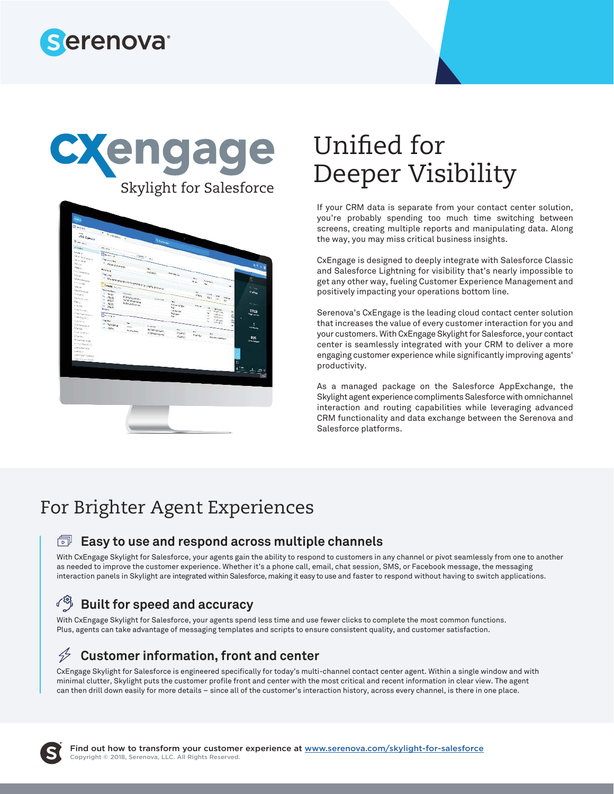





# Unified for Deeper Visibility

If your CRM data is separate from your contact center solution, you're probably spending too much time switching between screens, creating multiple reports and manipulating data. Along the way, you may miss critical business insights.

CxEngage is designed to deeply integrate with Salesforce Classic and Salesforce Lightning for visibility that's nearly impossible to get any other way, fueling Customer Experience Management and positively impacting your operations bottom line.

Serenova's CxEngage is the leading cloud contact center solution that increases the value of every customer interaction for you and your customers. With CxEngage Skylight for Salesforce, your contact center is seamlessly integrated with your CRM to deliver a more engaging customer experience while significantly improving agents' productivity.

As a managed package on the Salesforce AppExchange, the Skylight agent experience compliments Salesforce with omnichannel interaction and routing capabilities while leveraging advanced CRM functionality and data exchange between the Serenova and Salesforce platforms.

# For Brighter Agent Experiences

#### **Easy to use and respond across multiple channels**

With CxEngage Skylight for Salesforce, your agents gain the ability to respond to customers in any channel or pivot seamlessly from one to another as needed to improve the customer experience. Whether it's a phone call, email, chat session, SMS, or Facebook message, the messaging interaction panels in Skylight are integrated within Salesforce, making it easy to use and faster to respond without having to switch applications.

#### ᠃ᡗᢒᢅᢔ **Built for speed and accuracy**

With CxEngage Skylight for Salesforce, your agents spend less time and use fewer clicks to complete the most common functions. Plus, agents can take advantage of messaging templates and scripts to ensure consistent quality, and customer satisfaction.

#### **Customer information, front and center**   $\bigtriangledown$

CxEngage Skylight for Salesforce is engineered specifically for today's multi-channel contact center agent. Within a single window and with minimal clutter, Skylight puts the customer profile front and center with the most critical and recent information in clear view. The agent can then drill down easily for more details – since all of the customer's interaction history, across every channel, is there in one place.

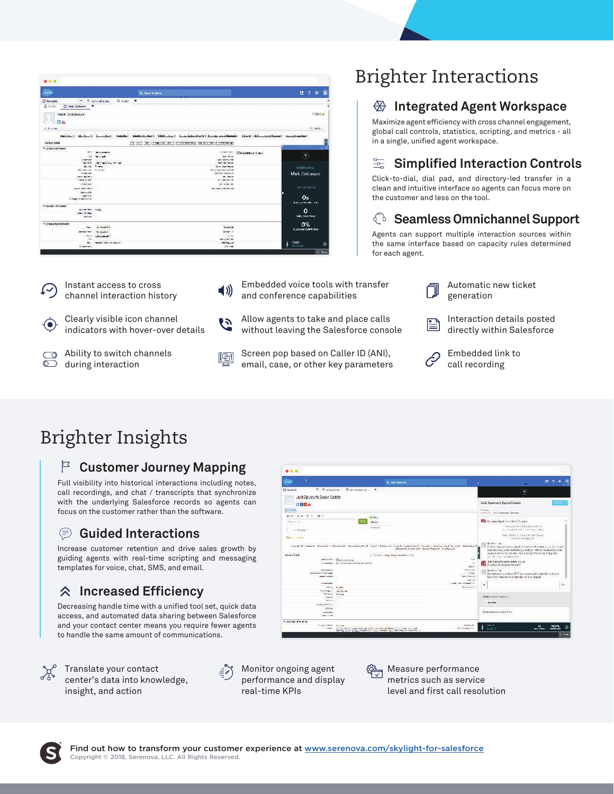| $\bullet\bullet\bullet$                         |                                    |                                                                                          |                               |
|-------------------------------------------------|------------------------------------|------------------------------------------------------------------------------------------|-------------------------------|
| <b>Limited</b>                                  |                                    | Q Such Sudem                                                                             | $7 + 1$<br>19                 |
| ÷.<br><b>B</b> Assuria                          | <b>E mercekkan</b><br><b>Chang</b> | 19                                                                                       |                               |
| El tirolo<br><b>El Mat Coldivoro</b>            |                                    |                                                                                          |                               |
|                                                 |                                    |                                                                                          |                               |
| Mark Colclasure                                 |                                    |                                                                                          | Pyes                          |
|                                                 |                                    |                                                                                          |                               |
| 日吉                                              |                                    |                                                                                          |                               |
| <b>B. S. N. Fam.</b>                            |                                    |                                                                                          | <b>SECURITY</b>               |
|                                                 |                                    |                                                                                          |                               |
|                                                 |                                    |                                                                                          |                               |
| Contact Detail                                  |                                    | Fill: Com - Gen-   Ringettsen - Jan -   ambeziele blang - Gentar Schell   direktionality |                               |
| * Contect damage                                |                                    |                                                                                          | o                             |
|                                                 | <b>MANGOLINATION</b>               | <b>ANWARREN</b>                                                                          | Elizabeth Canad               |
| 44<br>a er                                      | the Class                          | <b>Long Art 19</b>                                                                       | $\langle \hat{r} \rangle$     |
| <b>Ligarian</b>                                 |                                    | <b>CONT CARPELL LINE</b>                                                                 |                               |
| <b>New or by</b>                                | off Creat Value Creat              | <b>Searching</b> , Sale Harr                                                             |                               |
| the other                                       | <b>Rivers</b>                      | So to chees the set                                                                      | Welcome.                      |
| Mary Observer                                   | $A = I$                            | Drive Jaw Award Fried                                                                    |                               |
| Livernoon                                       |                                    | <b>BEAC SCI VALUES 18</b>                                                                | Mark Coldasure                |
| <b>Jack agines</b><br>Friend Color              |                                    | and mention<br><b>Business Committee</b>                                                 |                               |
| Trindomes                                       |                                    | For Links are                                                                            |                               |
|                                                 |                                    |                                                                                          | EST-DEVANCE                   |
| ALSO MOLSKOL                                    |                                    | <b>RELOCATION CONTRACT</b><br><b><i>CAR IN THE REAL</i></b>                              |                               |
| <b>Miller Little</b>                            |                                    |                                                                                          |                               |
| <b>SHAFT R. R.</b><br>Chrominal Antique Christi |                                    |                                                                                          | Os                            |
|                                                 |                                    |                                                                                          | <b>Australia Marchet Line</b> |
| * Account of Change.                            |                                    |                                                                                          |                               |
| <b>WARD SIMPLE STORY</b>                        |                                    |                                                                                          | ٥                             |
| Compatible                                      |                                    |                                                                                          |                               |
| <b>Vertices</b>                                 |                                    |                                                                                          | <b>Data inventions</b>        |
| · Connected an Delch                            |                                    |                                                                                          | 0%                            |
| Party                                           | <b>IS WANTED</b>                   | <b>De los Call</b>                                                                       |                               |
| Librariana Chang I                              | mission."                          | finite-1 in                                                                              | Customer Sedefection          |
| ser in                                          | 165-46-40                          | <b>WORK</b>                                                                              |                               |
| Ves.                                            |                                    | <b>Allegative Contractor</b>                                                             |                               |
| ı                                               | writes ad since some               | <b>CBI Report</b>                                                                        | <b>SEADY</b><br>å<br>Ŵ        |
| by applying a                                   |                                    | $(4.6 - 1)$                                                                              | 00:02:00                      |



### **Integrated Agent Workspace**

Maximize agent efficiency with cross channel engagement, global call controls, statistics, scripting, and metrics - all in a single, unified agent workspace.

#### 뚥 **Simplified Interaction Controls**

Click-to-dial, dial pad, and directory-led transfer in a clean and intuitive interface so agents can focus more on the customer and less on the tool.

### **Seamless Omnichannel Support**

Agents can support multiple interaction sources within the same interface based on capacity rules determined for each agent.

- Instant access to cross channel interaction history Clearly visible icon channel  $\left( \bullet \right)$ indicators with hover-over details Ability to switch channels ಂ  $\overline{\circ}$ during interaction
- Embedded voice tools with transfer  $\blacktriangleleft$  )) and conference capabilities
- Allow agents to take and place calls ひ without leaving the Salesforce console
- Screen pop based on Caller ID (ANI), 晒 email, case, or other key parameters
- Automatic new ticket generation

Interaction details posted B directly within Salesforce



Embedded link to call recording

# Brighter Insights

## **Customer Journey Mapping**

Full visibility into historical interactions including notes, call recordings, and chat / transcripts that synchronize with the underlying Salesforce records so agents can focus on the customer rather than the software.

#### ⊜ **Guided Interactions**

Increase customer retention and drive sales growth by guiding agents with real-time scripting and messaging templates for voice, chat, SMS, and email.

#### **Increased Efficiency**  仌

Decreasing handle time with a unified tool set, quick data access, and automated data sharing between Salesforce and your contact center means you require fewer agents to handle the same amount of communications.



Translate your contact center's data into knowledge, insight, and action

Monitor ongoing agent performance and display real-time KPIs

Measure performance metrics such as service level and first call resolution



Æ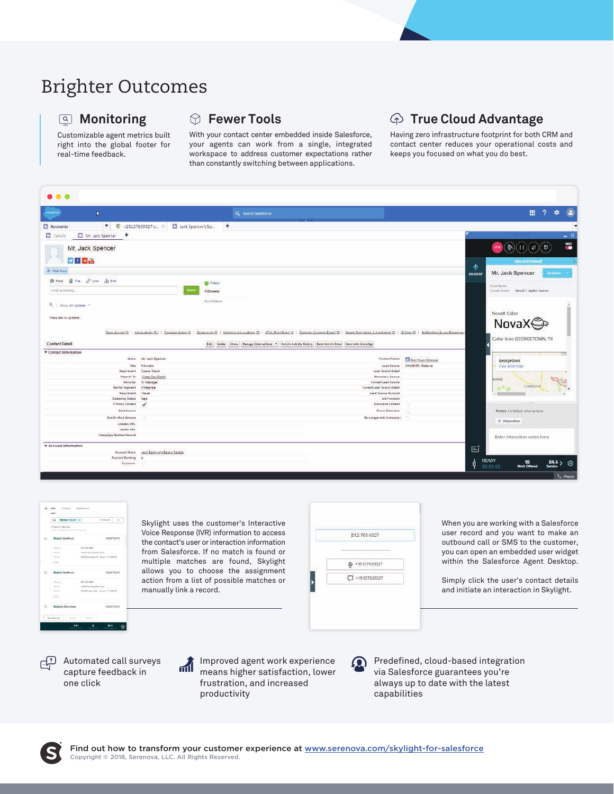## Brighter Outcomes

#### **Monitoring**

Customizable agent metrics built right into the global footer for real-time feedback.

#### **Fewer Tools**

With your contact center embedded inside Salesforce, your agents can work from a single, integrated workspace to address customer expectations rather than constantly switching between applications.

### **True Cloud Advantage**

Having zero infrastructure footprint for both CRM and contact center reduces your operational costs and keeps you focused on what you do best.

| salestorco<br>$\blacksquare$                                                                                |                                               | Q Search Satesforce                                                                                      |                    | 亜<br>∍<br>壺                                                      |
|-------------------------------------------------------------------------------------------------------------|-----------------------------------------------|----------------------------------------------------------------------------------------------------------|--------------------|------------------------------------------------------------------|
| 米<br>Accounts                                                                                               | ● +15127639327 o D B Jack Spencer's Sp<br>$+$ |                                                                                                          |                    |                                                                  |
| $+$<br><b>D</b> Dataliz<br>Mr. Jack Spencer                                                                 |                                               |                                                                                                          |                    | $- B$                                                            |
| Mr. Jack Spencer                                                                                            |                                               |                                                                                                          |                    | $\widehat{\mathbb{H}}$<br>$\mathbf{r}(\vec{q})$<br>$\Rightarrow$ |
| 日日区品                                                                                                        |                                               |                                                                                                          |                    | <b>Record Imired</b>                                             |
| - Hou Ford                                                                                                  |                                               |                                                                                                          | ۴                  |                                                                  |
|                                                                                                             |                                               |                                                                                                          | 00:02:57           | Mr. Jack Spencer<br>Actions                                      |
| ■ hie <i>@</i> Link ill Polt<br><b>Post</b>                                                                 | $\bigoplus$ Follow                            |                                                                                                          |                    | 'Elisie NAmm                                                     |
| Write scoletting.                                                                                           | Followers                                     |                                                                                                          |                    | Channel Honor NovaX Lingster Quester                             |
|                                                                                                             | Ma firknesses                                 |                                                                                                          |                    |                                                                  |
| Q   Show All Updates: =                                                                                     |                                               |                                                                                                          |                    | NovaX Callor                                                     |
|                                                                                                             |                                               |                                                                                                          |                    |                                                                  |
|                                                                                                             |                                               |                                                                                                          |                    |                                                                  |
|                                                                                                             |                                               |                                                                                                          |                    |                                                                  |
| There are no updates:                                                                                       |                                               |                                                                                                          |                    | NovaX <b>⊜</b>                                                   |
|                                                                                                             |                                               |                                                                                                          |                    | Caller from GEORGETOWN, TX                                       |
|                                                                                                             |                                               | Edit Dalete Clone Manage External User * Act-On Activity History Band Act-On Email   Send with Docu Sign |                    |                                                                  |
|                                                                                                             |                                               |                                                                                                          |                    |                                                                  |
|                                                                                                             | Name Mr. Jack Epercer                         | Contact Owner                                                                                            | Bob Hergo (Chinox) | Georgetown                                                       |
| Title:                                                                                                      | Sdarahu                                       | Lead Source                                                                                              | CHANNEL Referred   | View larger map                                                  |
| Department                                                                                                  | Space Travel                                  | <b>Ceast Bosepe Detail</b>                                                                               |                    |                                                                  |
| <b>Heporis</b> to:<br>Seniority <sup>*</sup>                                                                | [View One Chart]<br>Sr Manager                | Secondary Susesw<br>Corrent Lead Source                                                                  |                    | MINTANI                                                          |
| Market Segment                                                                                              | Emergritise                                   | Current Lead Source Detail                                                                               |                    | -Liberty HIII<br>ol P                                            |
| Department                                                                                                  | Travel                                        | <b>Lead Source Account</b>                                                                               |                    |                                                                  |
| Screening Status                                                                                            | New                                           | Job Function                                                                                             |                    |                                                                  |
| <b>Primary Contact</b>                                                                                      | $\checkmark$                                  | Executive Contact                                                                                        |                    |                                                                  |
| Data Source                                                                                                 |                                               | <b>Frous Executive</b>                                                                                   |                    | Notes Untitled Interaction                                       |
| <b>Aut-On Hard Bounce</b>                                                                                   |                                               | No Longer with Company to                                                                                |                    | $+$ Disposition                                                  |
| Linkden URL                                                                                                 |                                               |                                                                                                          |                    |                                                                  |
| Twitter URL<br>Campsign Member Record                                                                       |                                               |                                                                                                          |                    |                                                                  |
|                                                                                                             |                                               |                                                                                                          |                    | Enter Interaction notes here                                     |
|                                                                                                             |                                               |                                                                                                          | 固                  |                                                                  |
| Contact Detail<br><b>V</b> Contact Information<br>* Account Information<br>Account Name.<br>Account Ranking | Jack Spencer's Space Codats<br>12             |                                                                                                          | Ą<br><b>READY</b>  | 84.6 <sub>3</sub>                                                |



Skylight uses the customer's Interactive Voice Response (IVR) information to access the contact's user or interaction information from Salesforce. If no match is found or multiple matches are found, Skylight allows you to choose the assignment action from a list of possible matches or manually link a record.



 $\Omega$ 

When you are working with a Salesforce user record and you want to make an outbound call or SMS to the customer, you can open an embedded user widget within the Salesforce Agent Desktop.

Simply click the user's contact details and initiate an interaction in Skylight.

Automated call surveys رټ capture feedback in one click



Improved agent work experience means higher satisfaction, lower frustration, and increased productivity

Predefined, cloud-based integration via Salesforce guarantees you're always up to date with the latest capabilities